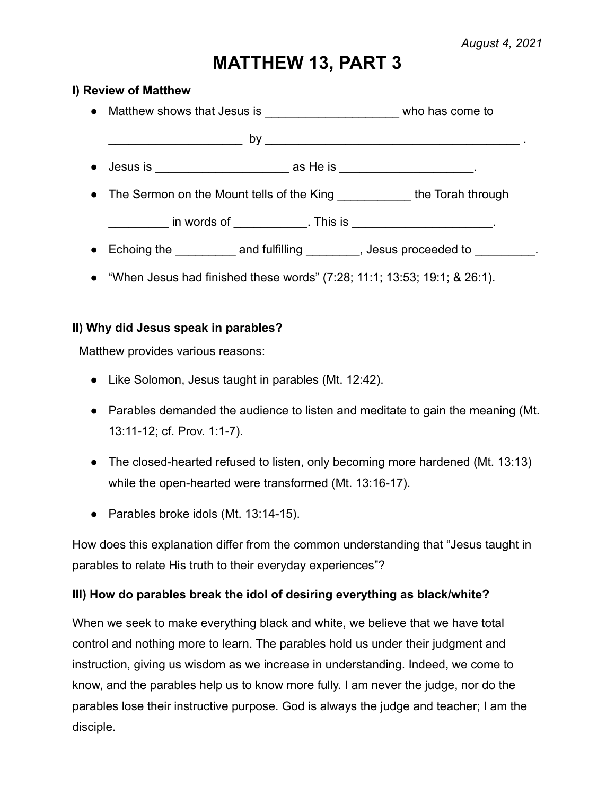# **MATTHEW 13, PART 3**

#### **I) Review of Matthew**

|           | • Matthew shows that Jesus is ___________________________ who has come to   |  |
|-----------|-----------------------------------------------------------------------------|--|
|           | <u> 1990 - Johann Barn, mars ann an t-Amhain ann an t-</u>                  |  |
| $\bullet$ | Jesus is $\frac{1}{1}$ as He is $\frac{1}{1}$ as He is $\frac{1}{1}$ .      |  |
|           | • The Sermon on the Mount tells of the King _____________ the Torah through |  |
|           | __ in words of ____________. This is ____________________.                  |  |
|           |                                                                             |  |

● "When Jesus had finished these words" (7:28; 11:1; 13:53; 19:1; & 26:1).

## **II) Why did Jesus speak in parables?**

Matthew provides various reasons:

- Like Solomon, Jesus taught in parables (Mt. 12:42).
- Parables demanded the audience to listen and meditate to gain the meaning (Mt. 13:11-12; cf. Prov. 1:1-7).
- The closed-hearted refused to listen, only becoming more hardened (Mt. 13:13) while the open-hearted were transformed (Mt. 13:16-17).
- Parables broke idols (Mt. 13:14-15).

How does this explanation differ from the common understanding that "Jesus taught in parables to relate His truth to their everyday experiences"?

## **III) How do parables break the idol of desiring everything as black/white?**

When we seek to make everything black and white, we believe that we have total control and nothing more to learn. The parables hold us under their judgment and instruction, giving us wisdom as we increase in understanding. Indeed, we come to know, and the parables help us to know more fully. I am never the judge, nor do the parables lose their instructive purpose. God is always the judge and teacher; I am the disciple.